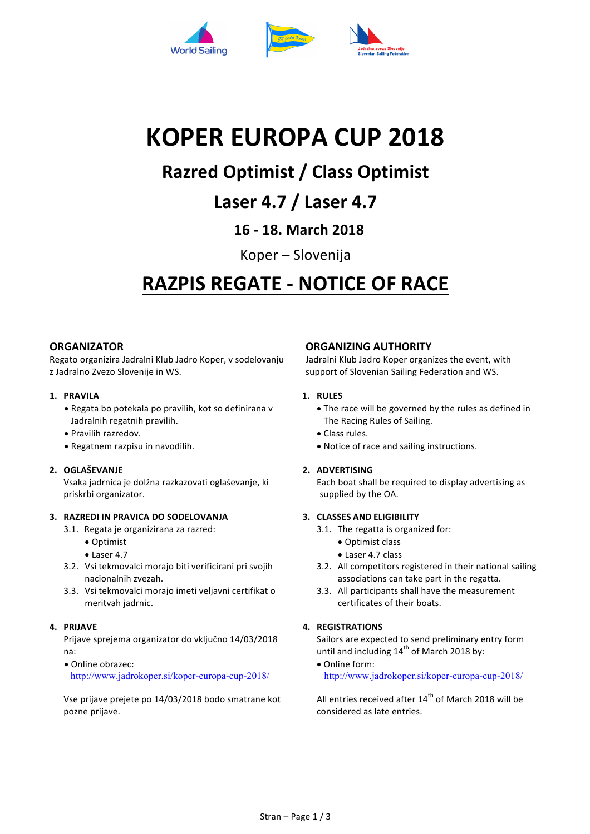

# **KOPER EUROPA CUP 2018**

# **Razred Optimist / Class Optimist**

## **Laser 4.7 / Laser 4.7**

### **16 - 18. March 2018**

Koper – Slovenija

# **RAZPIS REGATE - NOTICE OF RACE**

#### **ORGANIZATOR**

Regato organizira Jadralni Klub Jadro Koper, v sodelovanju z Jadralno Zvezo Slovenije in WS.

#### **1. PRAVILA**

- Regata bo potekala po pravilih, kot so definirana v Jadralnih regatnih pravilih.
- Pravilih razredov.
- Regatnem razpisu in navodilih.

#### **2. OGLAŠEVANJE**

Vsaka jadrnica je dolžna razkazovati oglaševanje, ki priskrbi organizator.

#### **3. RAZREDI IN PRAVICA DO SODELOVANJA**

- 3.1. Regata je organizirana za razred:
	- Optimist
	- $\bullet$  Laser 4.7
- 3.2. Vsi tekmovalci morajo biti verificirani pri svojih nacionalnih zvezah.
- 3.3. Vsi tekmovalci morajo imeti veljavni certifikat o meritvah iadrnic.

#### **4. PRIJAVE**

Prijave sprejema organizator do vključno 14/03/2018 na:

• Online obrazec: http://www.jadrokoper.si/koper-europa-cup-2018/

Vse prijave prejete po 14/03/2018 bodo smatrane kot pozne prijave.

#### **ORGANIZING AUTHORITY**

Jadralni Klub Jadro Koper organizes the event, with support of Slovenian Sailing Federation and WS.

#### **1. RULES**

- The race will be governed by the rules as defined in The Racing Rules of Sailing.
- Class rules.
- Notice of race and sailing instructions.

#### **2. ADVERTISING**

Each boat shall be required to display advertising as supplied by the OA.

#### **3. CLASSES AND ELIGIBILITY**

- 3.1. The regatta is organized for:
	- Optimist class
	- Laser 4.7 class
- 3.2. All competitors registered in their national sailing associations can take part in the regatta.
- 3.3. All participants shall have the measurement certificates of their boats.

#### **4. REGISTRATIONS**

Sailors are expected to send preliminary entry form until and including  $14^{th}$  of March 2018 by:

• Online form: http://www.jadrokoper.si/koper-europa-cup-2018/

All entries received after  $14<sup>th</sup>$  of March 2018 will be considered as late entries.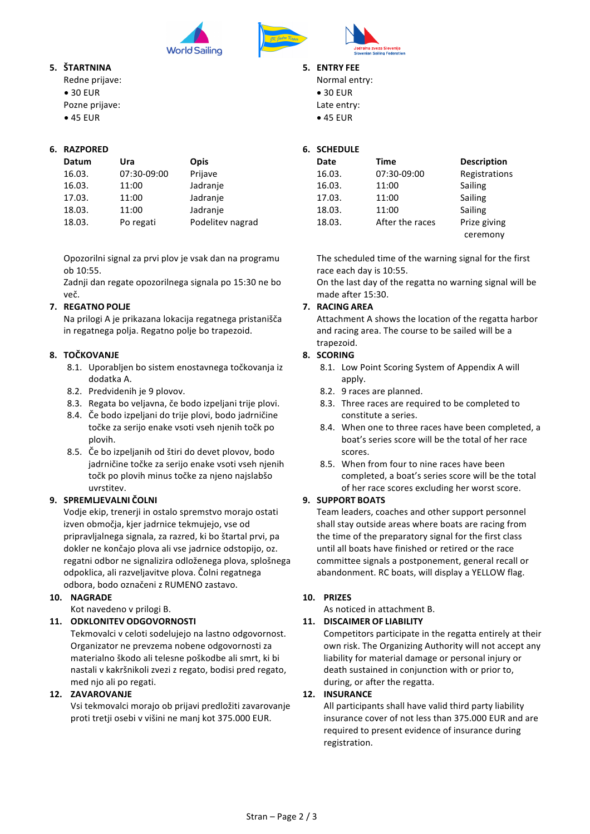

#### **5. ŠTARTNINA**

Redne prijave:  $\bullet$  30 FUR Pozne prijave: • 45 EUR

#### **6. RAZPORED**

| Datum  | Ura         | Opis             |
|--------|-------------|------------------|
| 16.03. | 07:30-09:00 | Prijave          |
| 16.03. | 11:00       | Jadranje         |
| 17.03. | 11:00       | Jadranje         |
| 18.03. | 11:00       | Jadranje         |
| 18.03. | Po regati   | Podelitev nagrad |

Opozorilni signal za prvi plov je vsak dan na programu ob 10:55.

Zadnji dan regate opozorilnega signala po 15:30 ne bo več.

#### **7. REGATNO POLJE**

Na prilogi A je prikazana lokacija regatnega pristanišča in regatnega polja. Regatno polje bo trapezoid.

#### **8. TOČKOVANJE**

- 8.1. Uporabljen bo sistem enostavnega točkovanja iz dodatka A.
- 8.2. Predvidenih je 9 plovov.
- 8.3. Regata bo veljavna, če bodo izpeljani trije plovi.
- 8.4. Če bodo izpeljani do trije plovi, bodo jadrničine točke za serijo enake vsoti vseh njenih točk po plovih.
- 8.5. Če bo izpeljanih od štiri do devet plovov, bodo jadrničine točke za serijo enake vsoti vseh njenih točk po plovih minus točke za njeno najslabšo uvrstitev.

#### **9. SPREMLJEVALNI ČOLNI**

Vodje ekip, trenerji in ostalo spremstvo morajo ostati izven območja, kjer jadrnice tekmujejo, vse od pripravljalnega signala, za razred, ki bo štartal prvi, pa dokler ne končajo plova ali vse jadrnice odstopijo, oz. regatni odbor ne signalizira odloženega plova, splošnega odpoklica, ali razveljavitve plova. Čolni regatnega odbora, bodo označeni z RUMENO zastavo.

#### **10. NAGRADE**

Kot navedeno v prilogi B.

#### **11. ODKLONITEV ODGOVORNOSTI**

Tekmovalci v celoti sodelujejo na lastno odgovornost. Organizator ne prevzema nobene odgovornosti za materialno škodo ali telesne poškodbe ali smrt, ki bi nastali v kakršnikoli zvezi z regato, bodisi pred regato, med njo ali po regati.

#### **12. ZAVAROVANJE**

Vsi tekmovalci morajo ob prijavi predložiti zavarovanje proti tretji osebi v višini ne manj kot 375.000 EUR.

#### **5. ENTRY FEE**

Normal entry:  $\bullet$  30 FUR Late entry: • 45 EUR 

#### **6. SCHEDULE**

| Date   | Time            | <b>Description</b> |
|--------|-----------------|--------------------|
| 16.03. | 07:30-09:00     | Registrations      |
| 16.03. | 11:00           | Sailing            |
| 17.03. | 11:00           | Sailing            |
| 18.03. | 11:00           | Sailing            |
| 18.03. | After the races | Prize giving       |
|        |                 | ceremony           |

The scheduled time of the warning signal for the first race each day is 10:55.

On the last day of the regatta no warning signal will be made after 15:30.

#### **7. RACING AREA**

Attachment A shows the location of the regatta harbor and racing area. The course to be sailed will be a trapezoid.

#### **8. SCORING**

- 8.1. Low Point Scoring System of Appendix A will apply.
- 8.2. 9 races are planned.
- 8.3. Three races are required to be completed to constitute a series.
- 8.4. When one to three races have been completed, a boat's series score will be the total of her race scores.
- 8.5. When from four to nine races have been completed, a boat's series score will be the total of her race scores excluding her worst score.

#### **9. SUPPORT BOATS**

Team leaders, coaches and other support personnel shall stay outside areas where boats are racing from the time of the preparatory signal for the first class until all boats have finished or retired or the race committee signals a postponement, general recall or abandonment. RC boats, will display a YELLOW flag.

#### **10. PRIZES**

As noticed in attachment B.

#### **11. DISCAIMER OF LIABILITY**

Competitors participate in the regatta entirely at their own risk. The Organizing Authority will not accept any liability for material damage or personal injury or death sustained in conjunction with or prior to, during, or after the regatta.

#### **12. INSURANCE**

All participants shall have valid third party liability insurance cover of not less than 375.000 EUR and are required to present evidence of insurance during registration.